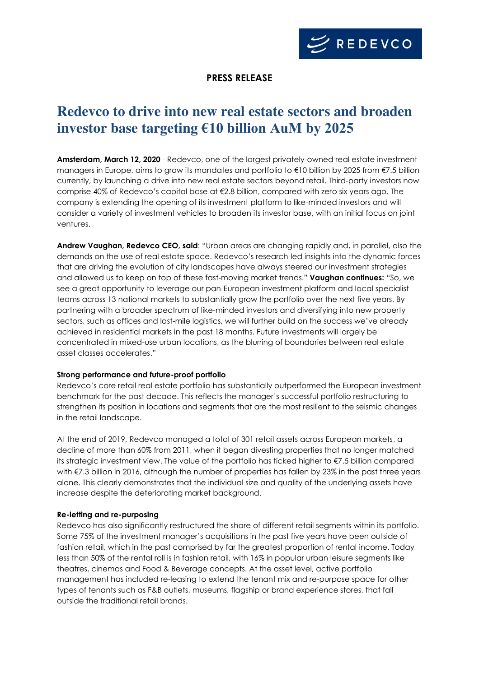

## **PRESS RELEASE**

# **Redevco to drive into new real estate sectors and broaden investor base targeting €10 billion AuM by 2025**

**Amsterdam, March 12, 2020** - Redevco, one of the largest privately-owned real estate investment managers in Europe, aims to grow its mandates and portfolio to €10 billion by 2025 from €7.5 billion currently, by launching a drive into new real estate sectors beyond retail. Third-party investors now comprise 40% of Redevco's capital base at €2.8 billion, compared with zero six years ago. The company is extending the opening of its investment platform to like-minded investors and will consider a variety of investment vehicles to broaden its investor base, with an initial focus on joint ventures.

**Andrew Vaughan, Redevco CEO, said**: "Urban areas are changing rapidly and, in parallel, also the demands on the use of real estate space. Redevco's research-led insights into the dynamic forces that are driving the evolution of city landscapes have always steered our investment strategies and allowed us to keep on top of these fast-moving market trends." **Vaughan continues:** "So, we see a great opportunity to leverage our pan-European investment platform and local specialist teams across 13 national markets to substantially grow the portfolio over the next five years. By partnering with a broader spectrum of like-minded investors and diversifying into new property sectors, such as offices and last-mile logistics, we will further build on the success we've already achieved in residential markets in the past 18 months. Future investments will largely be concentrated in mixed-use urban locations, as the blurring of boundaries between real estate asset classes accelerates."

### **Strong performance and future-proof portfolio**

Redevco's core retail real estate portfolio has substantially outperformed the European investment benchmark for the past decade. This reflects the manager's successful portfolio restructuring to strengthen its position in locations and segments that are the most resilient to the seismic changes in the retail landscape.

At the end of 2019, Redevco managed a total of 301 retail assets across European markets, a decline of more than 60% from 2011, when it began divesting properties that no longer matched its strategic investment view. The value of the portfolio has ticked higher to €7.5 billion compared with €7.3 billion in 2016, although the number of properties has fallen by 23% in the past three years alone. This clearly demonstrates that the individual size and quality of the underlying assets have increase despite the deteriorating market background.

### **Re-letting and re-purposing**

Redevco has also significantly restructured the share of different retail segments within its portfolio. Some 75% of the investment manager's acquisitions in the past five years have been outside of fashion retail, which in the past comprised by far the greatest proportion of rental income. Today less than 50% of the rental roll is in fashion retail, with 16% in popular urban leisure segments like theatres, cinemas and Food & Beverage concepts. At the asset level, active portfolio management has included re-leasing to extend the tenant mix and re-purpose space for other types of tenants such as F&B outlets, museums, flagship or brand experience stores, that fall outside the traditional retail brands.